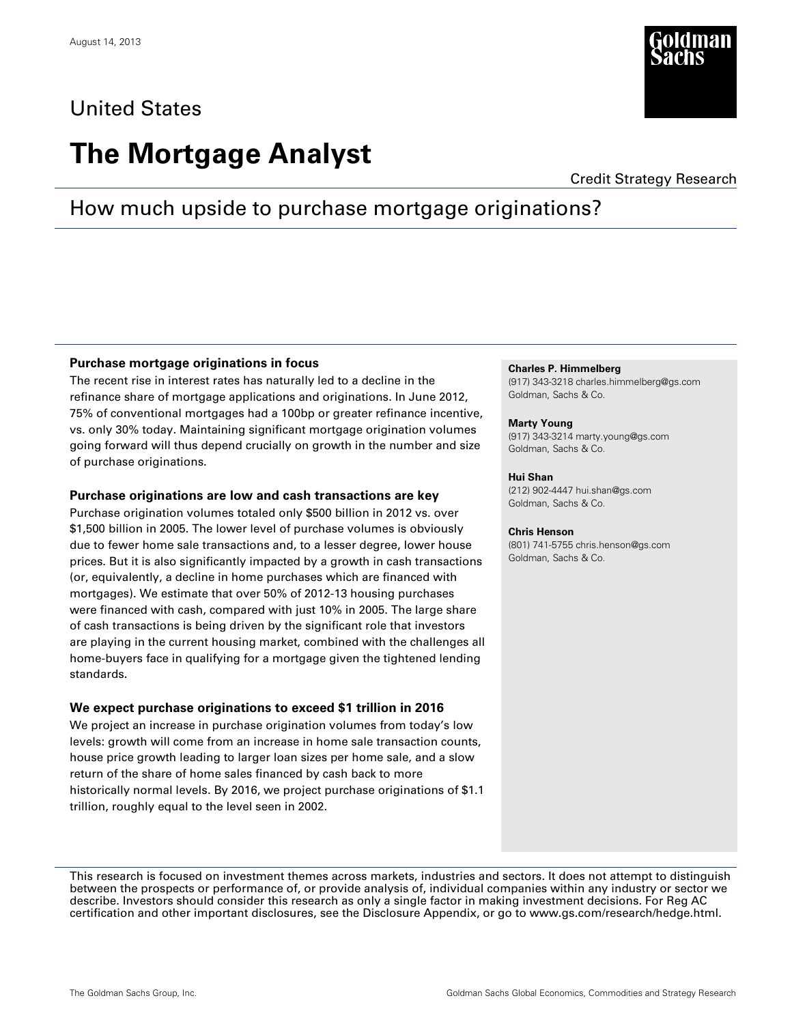## United States

# **The Mortgage Analyst**

Credit Strategy Research

## How much upside to purchase mortgage originations?

#### **Purchase mortgage originations in focus**

The recent rise in interest rates has naturally led to a decline in the refinance share of mortgage applications and originations. In June 2012, 75% of conventional mortgages had a 100bp or greater refinance incentive, vs. only 30% today. Maintaining significant mortgage origination volumes going forward will thus depend crucially on growth in the number and size of purchase originations.

#### **Purchase originations are low and cash transactions are key**

Purchase origination volumes totaled only \$500 billion in 2012 vs. over \$1,500 billion in 2005. The lower level of purchase volumes is obviously due to fewer home sale transactions and, to a lesser degree, lower house prices. But it is also significantly impacted by a growth in cash transactions (or, equivalently, a decline in home purchases which are financed with mortgages). We estimate that over 50% of 2012-13 housing purchases were financed with cash, compared with just 10% in 2005. The large share of cash transactions is being driven by the significant role that investors are playing in the current housing market, combined with the challenges all home-buyers face in qualifying for a mortgage given the tightened lending standards.

#### **We expect purchase originations to exceed \$1 trillion in 2016**

We project an increase in purchase origination volumes from today's low levels: growth will come from an increase in home sale transaction counts, house price growth leading to larger loan sizes per home sale, and a slow return of the share of home sales financed by cash back to more historically normal levels. By 2016, we project purchase originations of \$1.1 trillion, roughly equal to the level seen in 2002.

#### **Charles P. Himmelberg**

(917) 343-3218 charles.himmelberg@gs.com Goldman, Sachs & Co.

#### **Marty Young**

(917) 343-3214 marty.young@gs.com Goldman, Sachs & Co.

#### **Hui Shan**

(212) 902-4447 hui.shan@gs.com Goldman, Sachs & Co.

#### **Chris Henson**

(801) 741-5755 chris.henson@gs.com Goldman, Sachs & Co.

This research is focused on investment themes across markets, industries and sectors. It does not attempt to distinguish between the prospects or performance of, or provide analysis of, individual companies within any industry or sector we describe. Investors should consider this research as only a single factor in making investment decisions. For Reg AC certification and other important disclosures, see the Disclosure Appendix, or go to www.gs.com/research/hedge.html.

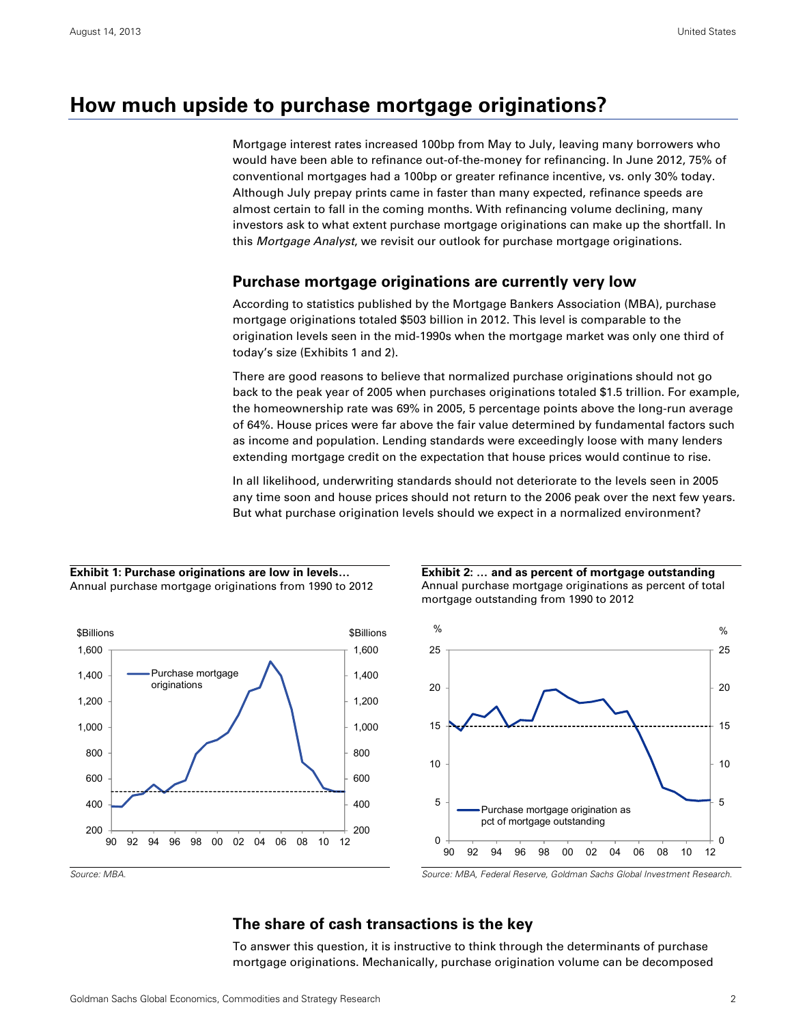### **How much upside to purchase mortgage originations?**

Mortgage interest rates increased 100bp from May to July, leaving many borrowers who would have been able to refinance out-of-the-money for refinancing. In June 2012, 75% of conventional mortgages had a 100bp or greater refinance incentive, vs. only 30% today. Although July prepay prints came in faster than many expected, refinance speeds are almost certain to fall in the coming months. With refinancing volume declining, many investors ask to what extent purchase mortgage originations can make up the shortfall. In this Mortgage Analyst, we revisit our outlook for purchase mortgage originations.

#### **Purchase mortgage originations are currently very low**

According to statistics published by the Mortgage Bankers Association (MBA), purchase mortgage originations totaled \$503 billion in 2012. This level is comparable to the origination levels seen in the mid-1990s when the mortgage market was only one third of today's size (Exhibits 1 and 2).

There are good reasons to believe that normalized purchase originations should not go back to the peak year of 2005 when purchases originations totaled \$1.5 trillion. For example, the homeownership rate was 69% in 2005, 5 percentage points above the long-run average of 64%. House prices were far above the fair value determined by fundamental factors such as income and population. Lending standards were exceedingly loose with many lenders extending mortgage credit on the expectation that house prices would continue to rise.

In all likelihood, underwriting standards should not deteriorate to the levels seen in 2005 any time soon and house prices should not return to the 2006 peak over the next few years. But what purchase origination levels should we expect in a normalized environment?

#### **Exhibit 1: Purchase originations are low in levels…**  Annual purchase mortgage originations from 1990 to 2012



**Exhibit 2: … and as percent of mortgage outstanding**  Annual purchase mortgage originations as percent of total mortgage outstanding from 1990 to 2012



#### Source: MBA. Source: MBA, Federal Reserve, Goldman Sachs Global Investment Research.

### **The share of cash transactions is the key**

To answer this question, it is instructive to think through the determinants of purchase mortgage originations. Mechanically, purchase origination volume can be decomposed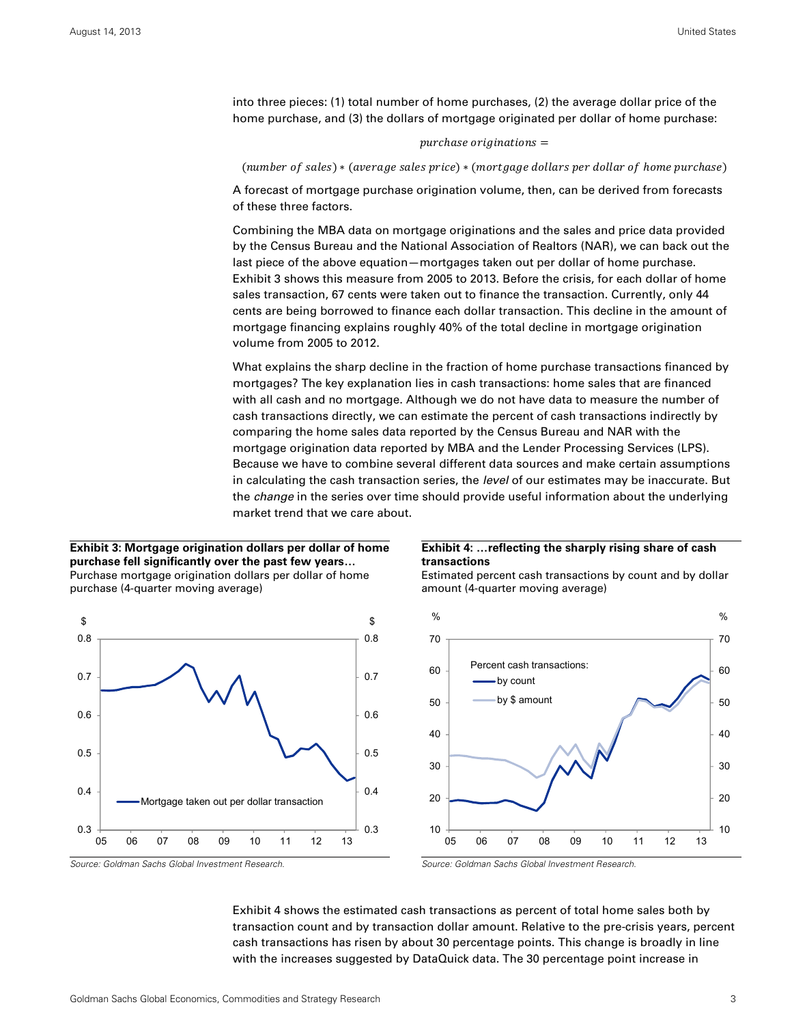into three pieces: (1) total number of home purchases, (2) the average dollar price of the home purchase, and (3) the dollars of mortgage originated per dollar of home purchase:

#### $p$ urchase originations  $=$

(number of sales) \* (average sales price) \* (mortgage dollars per dollar of home purchase)

A forecast of mortgage purchase origination volume, then, can be derived from forecasts of these three factors.

Combining the MBA data on mortgage originations and the sales and price data provided by the Census Bureau and the National Association of Realtors (NAR), we can back out the last piece of the above equation—mortgages taken out per dollar of home purchase. Exhibit 3 shows this measure from 2005 to 2013. Before the crisis, for each dollar of home sales transaction, 67 cents were taken out to finance the transaction. Currently, only 44 cents are being borrowed to finance each dollar transaction. This decline in the amount of mortgage financing explains roughly 40% of the total decline in mortgage origination volume from 2005 to 2012.

What explains the sharp decline in the fraction of home purchase transactions financed by mortgages? The key explanation lies in cash transactions: home sales that are financed with all cash and no mortgage. Although we do not have data to measure the number of cash transactions directly, we can estimate the percent of cash transactions indirectly by comparing the home sales data reported by the Census Bureau and NAR with the mortgage origination data reported by MBA and the Lender Processing Services (LPS). Because we have to combine several different data sources and make certain assumptions in calculating the cash transaction series, the *level* of our estimates may be inaccurate. But the *change* in the series over time should provide useful information about the underlying market trend that we care about.

#### **Exhibit 3: Mortgage origination dollars per dollar of home purchase fell significantly over the past few years…**  Purchase mortgage origination dollars per dollar of home purchase (4-quarter moving average)



#### **Exhibit 4: …reflecting the sharply rising share of cash transactions**



Estimated percent cash transactions by count and by dollar amount (4-quarter moving average)

Exhibit 4 shows the estimated cash transactions as percent of total home sales both by transaction count and by transaction dollar amount. Relative to the pre-crisis years, percent cash transactions has risen by about 30 percentage points. This change is broadly in line with the increases suggested by DataQuick data. The 30 percentage point increase in

Source: Goldman Sachs Global Investment Research. Source: Goldman Sachs Global Investment Research.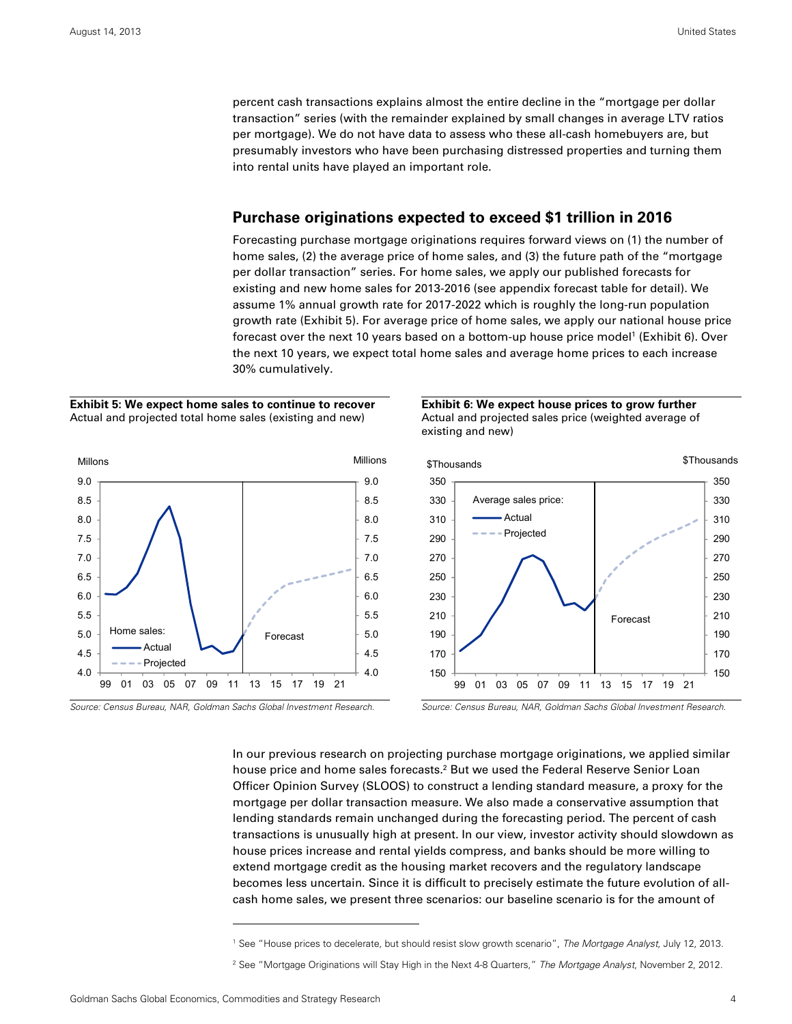percent cash transactions explains almost the entire decline in the "mortgage per dollar transaction" series (with the remainder explained by small changes in average LTV ratios per mortgage). We do not have data to assess who these all-cash homebuyers are, but presumably investors who have been purchasing distressed properties and turning them into rental units have played an important role.

#### **Purchase originations expected to exceed \$1 trillion in 2016**

Forecasting purchase mortgage originations requires forward views on (1) the number of home sales, (2) the average price of home sales, and (3) the future path of the "mortgage per dollar transaction" series. For home sales, we apply our published forecasts for existing and new home sales for 2013-2016 (see appendix forecast table for detail). We assume 1% annual growth rate for 2017-2022 which is roughly the long-run population growth rate (Exhibit 5). For average price of home sales, we apply our national house price forecast over the next 10 years based on a bottom-up house price model<sup>1</sup> (Exhibit 6). Over the next 10 years, we expect total home sales and average home prices to each increase 30% cumulatively.

#### **Exhibit 5: We expect home sales to continue to recover**  Actual and projected total home sales (existing and new)





Source: Census Bureau, NAR, Goldman Sachs Global Investment Research. Source: Census Bureau, NAR, Goldman Sachs Global Investment Research.

In our previous research on projecting purchase mortgage originations, we applied similar house price and home sales forecasts.<sup>2</sup> But we used the Federal Reserve Senior Loan Officer Opinion Survey (SLOOS) to construct a lending standard measure, a proxy for the mortgage per dollar transaction measure. We also made a conservative assumption that lending standards remain unchanged during the forecasting period. The percent of cash transactions is unusually high at present. In our view, investor activity should slowdown as house prices increase and rental yields compress, and banks should be more willing to extend mortgage credit as the housing market recovers and the regulatory landscape becomes less uncertain. Since it is difficult to precisely estimate the future evolution of allcash home sales, we present three scenarios: our baseline scenario is for the amount of

1





<sup>&</sup>lt;sup>1</sup> See "House prices to decelerate, but should resist slow growth scenario", The Mortgage Analyst, July 12, 2013.

<sup>&</sup>lt;sup>2</sup> See "Mortgage Originations will Stay High in the Next 4-8 Quarters," The Mortgage Analyst, November 2, 2012.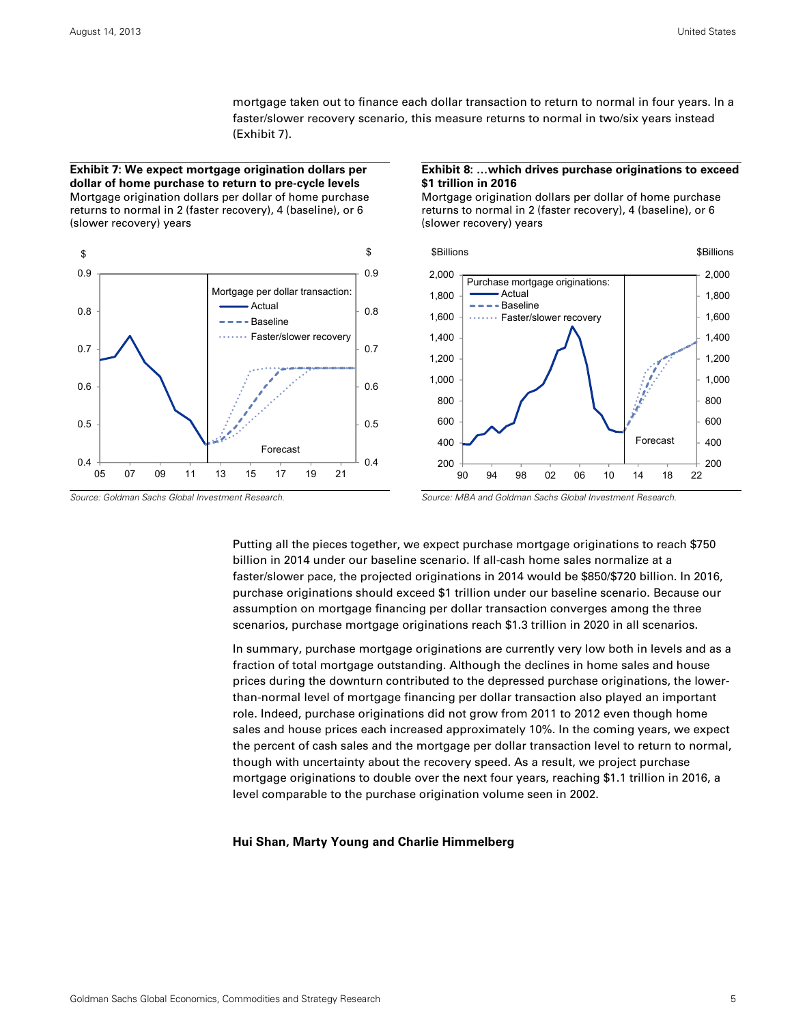mortgage taken out to finance each dollar transaction to return to normal in four years. In a faster/slower recovery scenario, this measure returns to normal in two/six years instead (Exhibit 7).

**Exhibit 7: We expect mortgage origination dollars per dollar of home purchase to return to pre-cycle levels**  Mortgage origination dollars per dollar of home purchase returns to normal in 2 (faster recovery), 4 (baseline), or 6 (slower recovery) years



#### **Exhibit 8: …which drives purchase originations to exceed \$1 trillion in 2016**

Mortgage origination dollars per dollar of home purchase returns to normal in 2 (faster recovery), 4 (baseline), or 6 (slower recovery) years



Putting all the pieces together, we expect purchase mortgage originations to reach \$750 billion in 2014 under our baseline scenario. If all-cash home sales normalize at a faster/slower pace, the projected originations in 2014 would be \$850/\$720 billion. In 2016, purchase originations should exceed \$1 trillion under our baseline scenario. Because our assumption on mortgage financing per dollar transaction converges among the three scenarios, purchase mortgage originations reach \$1.3 trillion in 2020 in all scenarios.

In summary, purchase mortgage originations are currently very low both in levels and as a fraction of total mortgage outstanding. Although the declines in home sales and house prices during the downturn contributed to the depressed purchase originations, the lowerthan-normal level of mortgage financing per dollar transaction also played an important role. Indeed, purchase originations did not grow from 2011 to 2012 even though home sales and house prices each increased approximately 10%. In the coming years, we expect the percent of cash sales and the mortgage per dollar transaction level to return to normal, though with uncertainty about the recovery speed. As a result, we project purchase mortgage originations to double over the next four years, reaching \$1.1 trillion in 2016, a level comparable to the purchase origination volume seen in 2002.

#### **Hui Shan, Marty Young and Charlie Himmelberg**

Source: Goldman Sachs Global Investment Research. Source: MBA and Goldman Sachs Global Investment Research.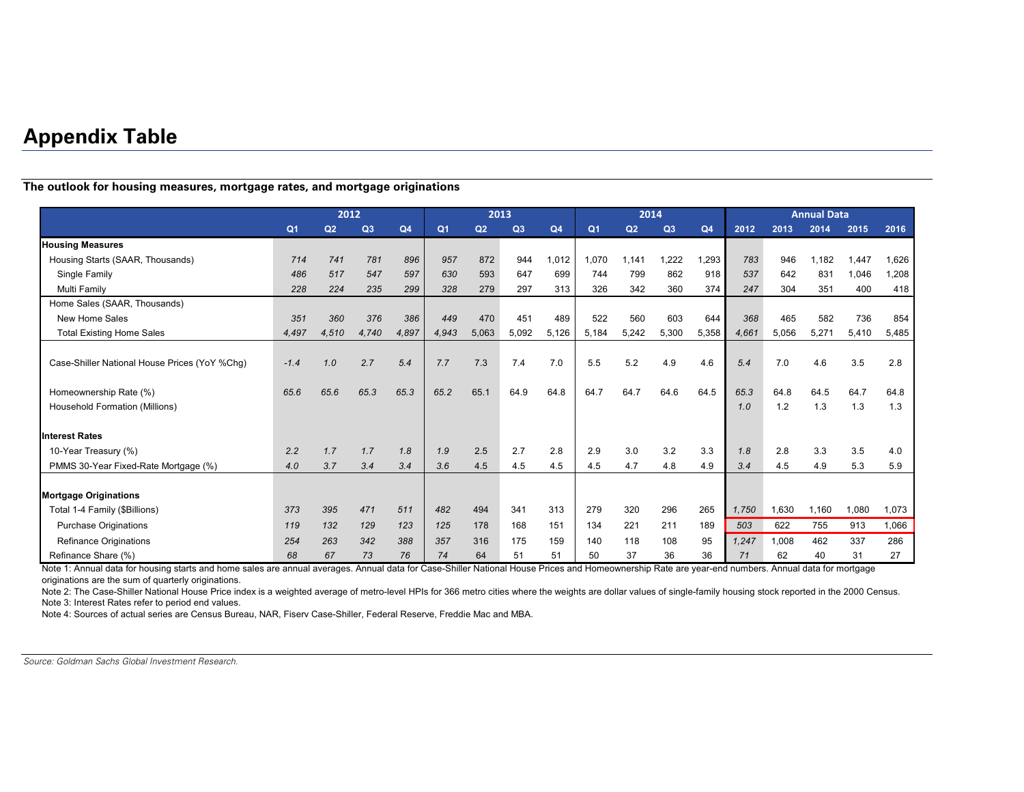## **Appendix Table**

**The outlook for housing measures, mortgage rates, and mortgage originations** 

|                                               | 2012           |                |       |                | 2013           |       |       |                | 2014           |                |                |                | <b>Annual Data</b> |       |       |       |       |
|-----------------------------------------------|----------------|----------------|-------|----------------|----------------|-------|-------|----------------|----------------|----------------|----------------|----------------|--------------------|-------|-------|-------|-------|
|                                               | Q <sub>1</sub> | Q <sub>2</sub> | Q3    | Q <sub>4</sub> | Q <sub>1</sub> | Q2    | Q3    | Q <sub>4</sub> | Q <sub>1</sub> | Q <sub>2</sub> | Q <sub>3</sub> | Q <sub>4</sub> | 2012               | 2013  | 2014  | 2015  | 2016  |
| <b>Housing Measures</b>                       |                |                |       |                |                |       |       |                |                |                |                |                |                    |       |       |       |       |
| Housing Starts (SAAR, Thousands)              | 714            | 741            | 781   | 896            | 957            | 872   | 944   | 1,012          | 1,070          | 1.141          | ,222           | 1,293          | 783                | 946   | 1.182 | 1.447 | 1,626 |
| Single Family                                 | 486            | 517            | 547   | 597            | 630            | 593   | 647   | 699            | 744            | 799            | 862            | 918            | 537                | 642   | 831   | 1,046 | 1,208 |
| Multi Family                                  | 228            | 224            | 235   | 299            | 328            | 279   | 297   | 313            | 326            | 342            | 360            | 374            | 247                | 304   | 351   | 400   | 418   |
| Home Sales (SAAR, Thousands)                  |                |                |       |                |                |       |       |                |                |                |                |                |                    |       |       |       |       |
| New Home Sales                                | 351            | 360            | 376   | 386            | 449            | 470   | 451   | 489            | 522            | 560            | 603            | 644            | 368                | 465   | 582   | 736   | 854   |
| <b>Total Existing Home Sales</b>              | 4,497          | 4.510          | 4,740 | 4,897          | 4,943          | 5,063 | 5.092 | 5.126          | 5,184          | 5,242          | 5,300          | 5,358          | 4,661              | 5,056 | 5,271 | 5,410 | 5,485 |
|                                               |                |                |       |                |                |       |       |                |                |                |                |                |                    |       |       |       |       |
| Case-Shiller National House Prices (YoY %Chq) | $-1.4$         | 1.0            | 2.7   | 5.4            | 7.7            | 7.3   | 7.4   | 7.0            | 5.5            | 5.2            | 4.9            | 4.6            | 5.4                | 7.0   | 4.6   | 3.5   | 2.8   |
|                                               |                |                |       |                |                |       |       |                |                |                |                |                |                    |       |       |       |       |
| Homeownership Rate (%)                        | 65.6           | 65.6           | 65.3  | 65.3           | 65.2           | 65.1  | 64.9  | 64.8           | 64.7           | 64.7           | 64.6           | 64.5           | 65.3               | 64.8  | 64.5  | 64.7  | 64.8  |
| Household Formation (Millions)                |                |                |       |                |                |       |       |                |                |                |                |                | 1.0                | 1.2   | 1.3   | 1.3   | 1.3   |
|                                               |                |                |       |                |                |       |       |                |                |                |                |                |                    |       |       |       |       |
| <b>Interest Rates</b>                         |                |                |       |                |                |       |       |                |                |                |                |                |                    |       |       |       |       |
| 10-Year Treasury (%)                          | 2.2            | 1.7            | 1.7   | 1.8            | 1.9            | 2.5   | 2.7   | 2.8            | 2.9            | 3.0            | 3.2            | 3.3            | 1.8                | 2.8   | 3.3   | 3.5   | 4.0   |
| PMMS 30-Year Fixed-Rate Mortgage (%)          | 4.0            | 3.7            | 3.4   | 3.4            | 3.6            | 4.5   | 4.5   | 4.5            | 4.5            | 4.7            | 4.8            | 4.9            | 3.4                | 4.5   | 4.9   | 5.3   | 5.9   |
|                                               |                |                |       |                |                |       |       |                |                |                |                |                |                    |       |       |       |       |
| <b>Mortgage Originations</b>                  |                |                |       |                |                |       |       |                |                |                |                |                |                    |       |       |       |       |
| Total 1-4 Family (\$Billions)                 | 373            | 395            | 471   | 511            | 482            | 494   | 341   | 313            | 279            | 320            | 296            | 265            | 1,750              | 1,630 | 1,160 | 1,080 | 1,073 |
| <b>Purchase Originations</b>                  | 119            | 132            | 129   | 123            | 125            | 178   | 168   | 151            | 134            | 221            | 211            | 189            | 503                | 622   | 755   | 913   | 1,066 |
| Refinance Originations                        | 254            | 263            | 342   | 388            | 357            | 316   | 175   | 159            | 140            | 118            | 108            | 95             | 1,247              | 1,008 | 462   | 337   | 286   |
| Refinance Share (%)                           | 68             | 67             | 73    | 76             | 74             | 64    | 51    | 51             | 50             | 37             | 36             | 36             | 71                 | 62    | 40    | 31    | 27    |

Note 1: Annual data for housing starts and home sales are annual averages. Annual data for Case-Shiller National House Prices and Homeownership Rate are year-end numbers. Annual data for mortgage originations are the sum of quarterly originations.

Note 2: The Case-Shiller National House Price index is a weighted average of metro-level HPIs for 366 metro cities where the weights are dollar values of single-family housing stock reported in the 2000 Census. Note 3: Interest Rates refer to period end values.

Note 4: Sources of actual series are Census Bureau, NAR, Fiserv Case-Shiller, Federal Reserve, Freddie Mac and MBA.

Source: Goldman Sachs Global Investment Research.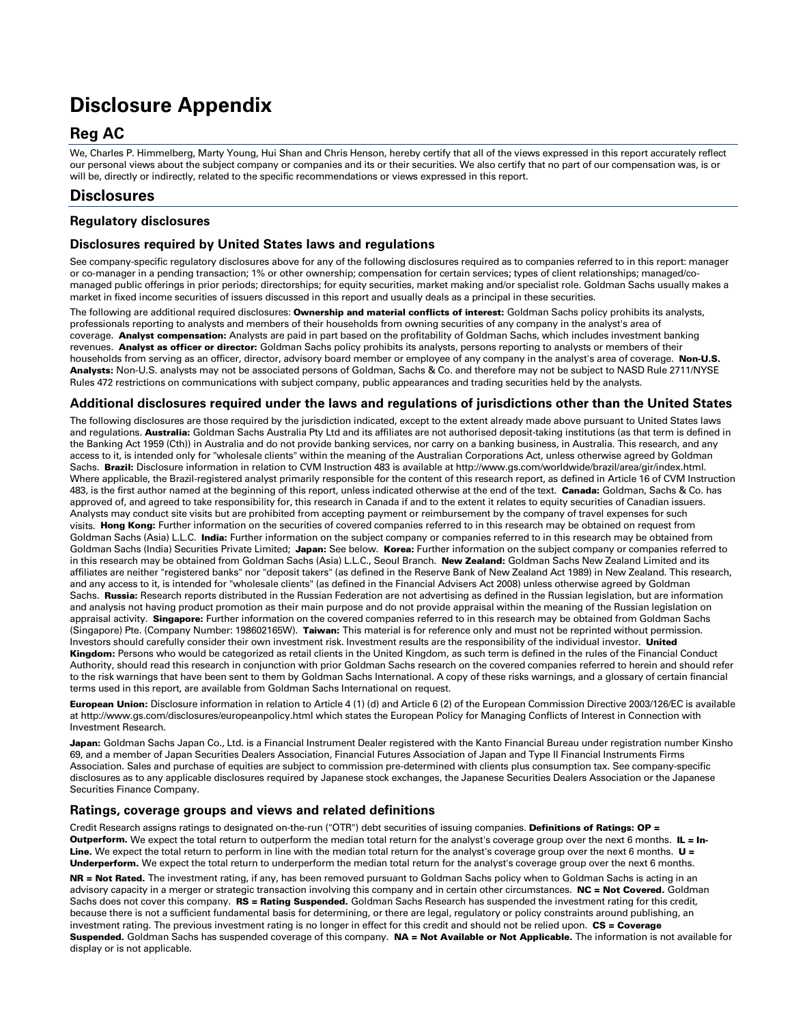## **Disclosure Appendix**

### **Reg AC**

We, Charles P. Himmelberg, Marty Young, Hui Shan and Chris Henson, hereby certify that all of the views expressed in this report accurately reflect our personal views about the subject company or companies and its or their securities. We also certify that no part of our compensation was, is or will be, directly or indirectly, related to the specific recommendations or views expressed in this report.

### **Disclosures**

#### **Regulatory disclosures**

#### **Disclosures required by United States laws and regulations**

See company-specific regulatory disclosures above for any of the following disclosures required as to companies referred to in this report: manager or co-manager in a pending transaction; 1% or other ownership; compensation for certain services; types of client relationships; managed/comanaged public offerings in prior periods; directorships; for equity securities, market making and/or specialist role. Goldman Sachs usually makes a market in fixed income securities of issuers discussed in this report and usually deals as a principal in these securities.

The following are additional required disclosures: Ownership and material conflicts of interest: Goldman Sachs policy prohibits its analysts, professionals reporting to analysts and members of their households from owning securities of any company in the analyst's area of coverage. Analyst compensation: Analysts are paid in part based on the profitability of Goldman Sachs, which includes investment banking revenues. Analyst as officer or director: Goldman Sachs policy prohibits its analysts, persons reporting to analysts or members of their households from serving as an officer, director, advisory board member or employee of any company in the analyst's area of coverage. Non-U.S. Analysts: Non-U.S. analysts may not be associated persons of Goldman, Sachs & Co. and therefore may not be subject to NASD Rule 2711/NYSE Rules 472 restrictions on communications with subject company, public appearances and trading securities held by the analysts.

#### **Additional disclosures required under the laws and regulations of jurisdictions other than the United States**

The following disclosures are those required by the jurisdiction indicated, except to the extent already made above pursuant to United States laws and regulations. Australia: Goldman Sachs Australia Pty Ltd and its affiliates are not authorised deposit-taking institutions (as that term is defined in the Banking Act 1959 (Cth)) in Australia and do not provide banking services, nor carry on a banking business, in Australia. This research, and any access to it, is intended only for "wholesale clients" within the meaning of the Australian Corporations Act, unless otherwise agreed by Goldman Sachs. Brazil: Disclosure information in relation to CVM Instruction 483 is available at http://www.gs.com/worldwide/brazil/area/gir/index.html. Where applicable, the Brazil-registered analyst primarily responsible for the content of this research report, as defined in Article 16 of CVM Instruction 483, is the first author named at the beginning of this report, unless indicated otherwise at the end of the text. Canada: Goldman, Sachs & Co. has approved of, and agreed to take responsibility for, this research in Canada if and to the extent it relates to equity securities of Canadian issuers. Analysts may conduct site visits but are prohibited from accepting payment or reimbursement by the company of travel expenses for such visits. Hong Kong: Further information on the securities of covered companies referred to in this research may be obtained on request from Goldman Sachs (Asia) L.L.C. India: Further information on the subject company or companies referred to in this research may be obtained from Goldman Sachs (India) Securities Private Limited; Japan: See below. Korea: Further information on the subject company or companies referred to in this research may be obtained from Goldman Sachs (Asia) L.L.C., Seoul Branch. New Zealand: Goldman Sachs New Zealand Limited and its affiliates are neither "registered banks" nor "deposit takers" (as defined in the Reserve Bank of New Zealand Act 1989) in New Zealand. This research, and any access to it, is intended for "wholesale clients" (as defined in the Financial Advisers Act 2008) unless otherwise agreed by Goldman Sachs. Russia: Research reports distributed in the Russian Federation are not advertising as defined in the Russian legislation, but are information and analysis not having product promotion as their main purpose and do not provide appraisal within the meaning of the Russian legislation on appraisal activity. Singapore: Further information on the covered companies referred to in this research may be obtained from Goldman Sachs (Singapore) Pte. (Company Number: 198602165W). Taiwan: This material is for reference only and must not be reprinted without permission. Investors should carefully consider their own investment risk. Investment results are the responsibility of the individual investor. United Kingdom: Persons who would be categorized as retail clients in the United Kingdom, as such term is defined in the rules of the Financial Conduct Authority, should read this research in conjunction with prior Goldman Sachs research on the covered companies referred to herein and should refer to the risk warnings that have been sent to them by Goldman Sachs International. A copy of these risks warnings, and a glossary of certain financial terms used in this report, are available from Goldman Sachs International on request.

European Union: Disclosure information in relation to Article 4 (1) (d) and Article 6 (2) of the European Commission Directive 2003/126/EC is available at http://www.gs.com/disclosures/europeanpolicy.html which states the European Policy for Managing Conflicts of Interest in Connection with Investment Research.

Japan: Goldman Sachs Japan Co., Ltd. is a Financial Instrument Dealer registered with the Kanto Financial Bureau under registration number Kinsho 69, and a member of Japan Securities Dealers Association, Financial Futures Association of Japan and Type II Financial Instruments Firms Association. Sales and purchase of equities are subject to commission pre-determined with clients plus consumption tax. See company-specific disclosures as to any applicable disclosures required by Japanese stock exchanges, the Japanese Securities Dealers Association or the Japanese Securities Finance Company.

#### **Ratings, coverage groups and views and related definitions**

Credit Research assigns ratings to designated on-the-run ("OTR") debt securities of issuing companies. Definitions of Ratings: OP = Outperform. We expect the total return to outperform the median total return for the analyst's coverage group over the next 6 months. IL = In-Line. We expect the total return to perform in line with the median total return for the analyst's coverage group over the next 6 months. U = Underperform. We expect the total return to underperform the median total return for the analyst's coverage group over the next 6 months.

NR = Not Rated. The investment rating, if any, has been removed pursuant to Goldman Sachs policy when to Goldman Sachs is acting in an advisory capacity in a merger or strategic transaction involving this company and in certain other circumstances. NC = Not Covered. Goldman Sachs does not cover this company. RS = Rating Suspended. Goldman Sachs Research has suspended the investment rating for this credit, because there is not a sufficient fundamental basis for determining, or there are legal, regulatory or policy constraints around publishing, an investment rating. The previous investment rating is no longer in effect for this credit and should not be relied upon. CS = Coverage Suspended. Goldman Sachs has suspended coverage of this company. NA = Not Available or Not Applicable. The information is not available for display or is not applicable.